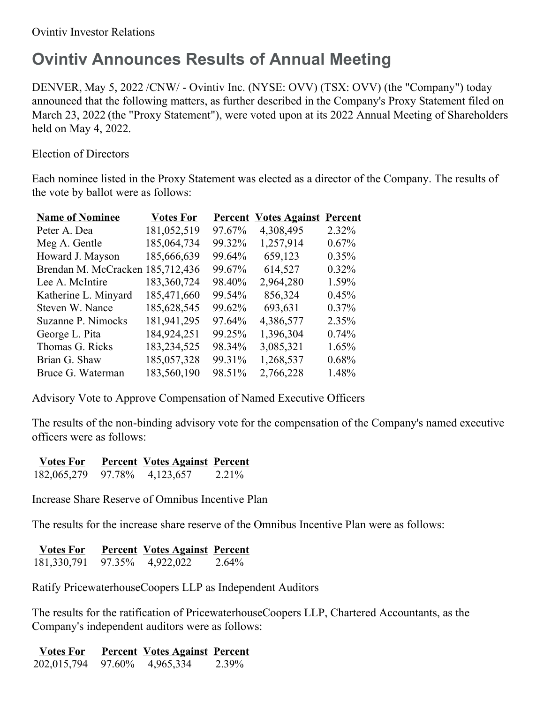## **Ovintiv Announces Results of Annual Meeting**

DENVER, May 5, 2022 /CNW/ - Ovintiv Inc. (NYSE: OVV) (TSX: OVV) (the "Company") today announced that the following matters, as further described in the Company's Proxy Statement filed on March 23, 2022 (the "Proxy Statement"), were voted upon at its 2022 Annual Meeting of Shareholders held on May 4, 2022.

Election of Directors

Each nominee listed in the Proxy Statement was elected as a director of the Company. The results of the vote by ballot were as follows:

| <b>Name of Nominee</b>           | <b>Votes For</b> |        | <b>Percent Votes Against</b> | Percent  |
|----------------------------------|------------------|--------|------------------------------|----------|
| Peter A. Dea                     | 181,052,519      | 97.67% | 4,308,495                    | 2.32%    |
| Meg A. Gentle                    | 185,064,734      | 99.32% | 1,257,914                    | 0.67%    |
| Howard J. Mayson                 | 185,666,639      | 99.64% | 659,123                      | 0.35%    |
| Brendan M. McCracken 185,712,436 |                  | 99.67% | 614,527                      | $0.32\%$ |
| Lee A. McIntire                  | 183,360,724      | 98.40% | 2,964,280                    | 1.59%    |
| Katherine L. Minyard             | 185,471,660      | 99.54% | 856,324                      | 0.45%    |
| Steven W. Nance                  | 185,628,545      | 99.62% | 693,631                      | $0.37\%$ |
| Suzanne P. Nimocks               | 181,941,295      | 97.64% | 4,386,577                    | 2.35%    |
| George L. Pita                   | 184,924,251      | 99.25% | 1,396,304                    | 0.74%    |
| Thomas G. Ricks                  | 183,234,525      | 98.34% | 3,085,321                    | $1.65\%$ |
| Brian G. Shaw                    | 185,057,328      | 99.31% | 1,268,537                    | 0.68%    |
| Bruce G. Waterman                | 183,560,190      | 98.51% | 2,766,228                    | 1.48%    |
|                                  |                  |        |                              |          |

Advisory Vote to Approve Compensation of Named Executive Officers

The results of the non-binding advisory vote for the compensation of the Company's named executive officers were as follows:

| <b>Votes For</b>                                                      |                              | <b>Percent Votes Against Percent</b> |                             |
|-----------------------------------------------------------------------|------------------------------|--------------------------------------|-----------------------------|
| $\lambda$ $\lambda$ $\lambda$ $\lambda$ $\lambda$ $\lambda$ $\lambda$ | $\sim$ $ \sim$ $\sim$ $\sim$ | .                                    | $\sim$ $\sim$ $\sim$ $\sim$ |

182,065,279 97.78% 4,123,657 2.21%

Increase Share Reserve of Omnibus Incentive Plan

The results for the increase share reserve of the Omnibus Incentive Plan were as follows:

| <b>Votes For</b> |  | <b>Percent Votes Against Percent</b> |  |
|------------------|--|--------------------------------------|--|
|------------------|--|--------------------------------------|--|

181,330,791 97.35% 4,922,022 2.64%

Ratify PricewaterhouseCoopers LLP as Independent Auditors

The results for the ratification of PricewaterhouseCoopers LLP, Chartered Accountants, as the Company's independent auditors were as follows:

**Votes For Percent Votes Against Percent** 202,015,794 97.60% 4,965,334 2.39%